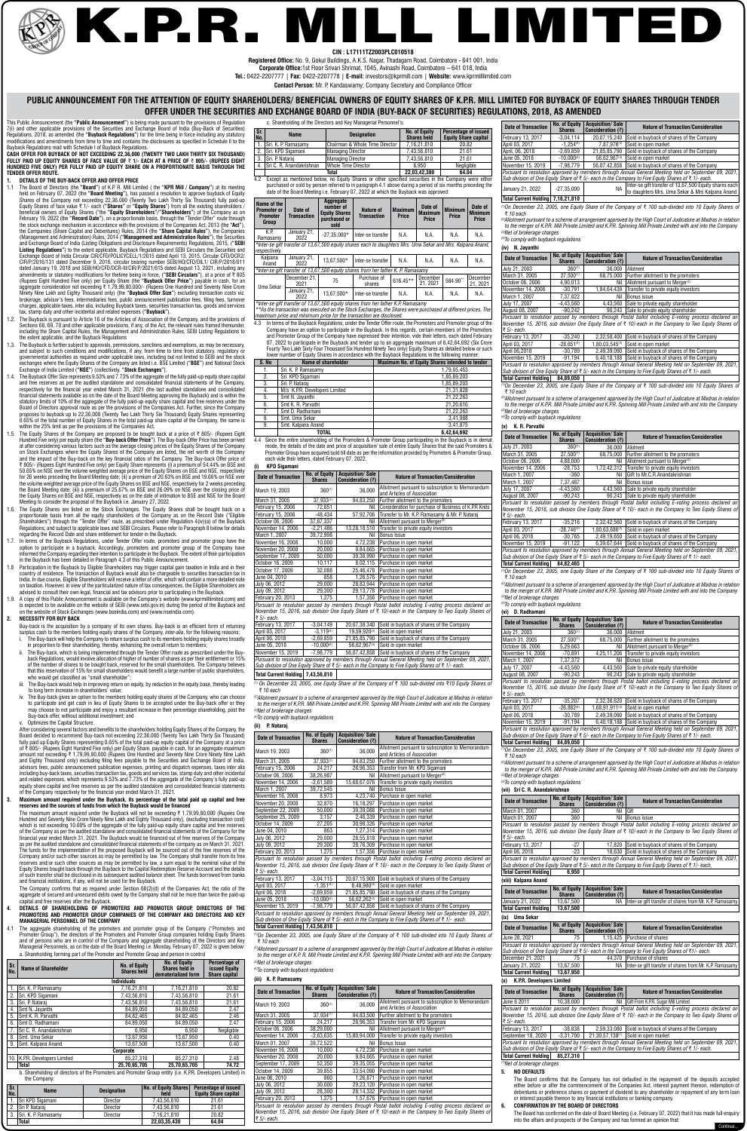# **PUBLIC ANNOUNCEMENT FOR THE ATTENTION OF EQUITY SHAREHOLDERS/ BENEFICIAL OWNERS OF EQUITY SHARES OF K.P.R. MILL LIMITED FOR BUYBACK OF EQUITY SHARES THROUGH TENDER OFFER UNDER THE SECURITIES AND EXCHANGE BOARD OF INDIA (BUY-BACK OF SECURITIES) REGULATIONS, 2018, AS AMENDED**

**Registered Office:** No. 9, Gokul Buildings, A.K.S. Nagar, Thadagam Road, Coimbatore - 641 001, India **Corporate Office:**1st Floor Srivari Shrimat, 1045, Avinashi Road, Coimbatore – 641 018, India

**Tel.:** 0422-2207777 | **Fax:** 0422-2207778 | **E-mail:** investors@kprmill.com | **Website:** www.kprmilllimited.com

**Contact Person:** Mr. P. Kandaswamy; Company Secretary and Compliance Officer

This Public Announcement (the **"Public Announcement"**) is being made pursuant to the provisions of Regulation 7(i) and other applicable provisions of the Securities and Exchange Board of India (Buy-Back of Securities) Regulations, 2018, as amended (the **"Buyback Regulations"**) for the time being in force including any statutory modifications and amendments from time to time and contains the disclosures as specified in Schedule II to the Buyback Regulations read with Schedule I of Buyback Regulations.

**CASH OFFER FOR BUYBACK OF NOT EXCEEDING 22,36,000 (TWENTY TWO LAKH THIRTY SIX THOUSAND) FULLY PAID UP EQUITY SHARES OF FACE VALUE OF** ` **1/- EACH AT A PRICE OF** ` **805/- (RUPEES EIGHT HUNDRED FIVE ONLY) PER FULLY PAID UP EQUITY SHARE ON A PROPORTIONATE BASIS THROUGH THE TENDER OFFER ROUTE.**

# **1. DETAILS OF THE BUY-BACK OFFER AND OFFER PRICE**

- 1.1 The Board of Directors (the **"Board"**) of K.P. R. Mill Limited ( the **"KPR Mill / Company"**) at its meeting held on February 07, 2022 (the **"Board Meeting"**), has passed a resolution to approve buyback of Equity Shares of the Company not exceeding 22,36,000 (Twenty Two Lakh Thirty Six Thousand) fully paid-up<br>Equity Shares of face value ₹ 1/- each (**"Shares"** or **"Equity Shares**") from all the existing shareholders / beneficial owners of Equity Shares ("the **"Equity Shareholders"/"Shareholders"**) of the Company as on February 19, 2022 (the **"Record Date"**), on a proportionate basis, through the "Tender Offer" route through the stock exchange mechanism in accordance with the provisions of the Companies Act, 2013 (the **"Act"**), the Companies (Share Capital and Debentures) Rules, 2014 (the **"Share Capital Rules"**), the Companies (Management and Administration) Rules, 2014 (**"Management and Administration Rules"**), the Securities and Exchange Board of India (Listing Obligations and Disclosure Requirements) Regulations, 2015, (**"SEBI Listing Regulations"**) to the extent applicable, Buyback Regulations and SEBI Circulars the Securities and Exchange Board of India Circular CIR/CFD/POLICYCELL/1/2015 dated April 13, 2015, Circular CFD/DCR2/ CIR/P/2016/131 dated December 9, 2016, circular bearing number SEBI/HO/CFD/DIL1/ CIR/P/2018/011 dated January 19, 2018 and SEBI/HO/CFD/DCR-III/CIR/P/2021/615 dated August 13, 2021, including any amendments or statutory modifications for thetime being in force, ("**SEBI Circulars**"), at a price of ₹ 805<br>(Rupees Eight Hundred Five only) per Equity Share (the "**Buyback Offer Price**") payable in cash, for an aggregate consideration not exceeding ` 1,79,99,80,000/- (Rupees One Hundred and Seventy Nine Crore Ninety Nine Lakh and Eighty Thousand only) (the **"Buyback Offer Size"**) excluding transaction costs viz.<br>brokerage, advisor's fees, intermediaries fees, public announcement publication fees, filing fees, turnover charges, applicable taxes, inter alia, including Buyback taxes, securities transaction tax, goods and services tax, stamp duty and other incidental and related expenses (**"Buyback"**).
- 1.2. The Buyback is pursuant to Article 16 of the Articles of Association of the Company, and the provisions of Sections 68, 69, 70 and other applicable provisions, if any, of the Act, the relevant rules framed thereunder including the Share Capital Rules, the Management and Administration Rules, SEBI Listing Regulations to the extent applicable, and the Buyback Regulations
- 1.3. The Buyback is further subject to approvals, permissions, sanctions and exemptions, as may be necessary, and subject to such conditions and modifications, if any, from time to time from statutory, regulatory or governmental authorities as required under applicable laws, including but not limited to SEBI and the stock exchanges where the Equity Shares of the Company are listed i.e. BSE Limited (**"BSE"**) and National Stock Exchange of India Limited (**"NSE"**) (collectively, **"Stock Exchanges"**).
- 1.4. The Buyback Offer Size represents 9.53% and 7.73% of the aggregate of the fully paid-up equity share capital and free reserves as per the audited standalone and consolidated financial statements of the Company, respectively for the financial year ended March 31, 2021 (the last audited standalone and consolidated financial statements available as on the date of the Board Meeting approving the Buyback) and is within the statutory limits of 10% of the aggregate of the fully paid-up equity share capital and free reserves under the Board of Directors approval route as per the provisions of the Companies Act. Further, since the Company proposes to buyback up to 22,36,000 (Twenty Two Lakh Thirty Six Thousand) Equity Shares representing 0.65% of the total number of Equity Shares in the total paid-up share capital of the Company, the same is within the 25% limit as per the provisions of the Companies Act.
- 1.5. The Equity Shares of the Company are proposed to be bought back at a price of ₹ 805/- (Rupees Eight Hundred Five only) per equity share (the **"Buy-back Offer Price"**). The Buy-back Offer Price has been arrived at after considering various factors such as the average closing prices of the Equity Shares of the Company on Stock Exchanges where the Equity Shares of the Company are listed, the net worth of the Company and the impact of the Buy-back on the key financial ratios of the Company. The Buy-back Offer price of ` 805/- (Rupees Eight Hundred Five only) per Equity Share represents (i) a premium of 54.44% on BSE and 50.65% on NSE over the volume weighted average price of the Equity Shares on BSE and NSE, respectively for 26 weeks preceding the Board Meeting date; (ii) a premium of 20.63% on BSE and 19.66% on NSE over the volume weighted average price of the Equity Shares on BSE and NSE, respectively for 2 weeks preceding the Board Meeting date; (iii) a premium of 25.67% on BSE and 26.09% on NSE over the closing price of<br>the Equity Shares on BSE and NSE, respectively as on the date of intimation to BSE and NSE for the Board Meeting to consider the proposal of the Buyback i.e. January 27, 2022.
- 1.6. The Equity Shares are listed on the Stock Exchanges. The Equity Shares shall be bought back on a proportionate basis from all the equity shareholders of the Company as on the Record Date ("Eligible Shareholders") through the "Tender Offer" route, as prescribed under Regulation 4(iv)(a) of the Buyback Regulations, and subject to applicable laws and SEBI Circulars. Please refer to Paragraph 8 below for details regarding the Record Date and share entitlement for tender in the Buyback.
- 1.7. In terms of the Buyback Regulations, under Tender Offer route, promoters and promoter group have the option to participate in a buyback. Accordingly, promoters and promoter group of the Company have informed the Company regarding their intention to participate in the Buyback. The extent of their participation in the Buyback has been detailed in Paragraph 4.3 of this Public Announcement.
- 1.8 Participation in the Buyback by Eligible Shareholders may trigger capital gain taxation in India and in their country of residence. The transaction of Buyback would also be chargeable to securities transaction tax in India. In due course, Eligible Shareholders will receive a letter of offer, which will contain a more detailed note on taxation. However, in view of the particularized nature of tax consequences, the Eligible Shareholders are advised to consult their own legal, financial and tax advisors prior to participating in the Buyback.
- 1.9. A copy of this Public Announcement is available on the Company's website (www.kprmilllimited.com) and is expected to be available on the website of SEBI (www.sebi.gov.in) during the period of the Buyback and on the website of Stock Exchanges (www.bseindia.com) and (www.nseindia.com).

The maximum amount required under the Buyback will not be exceeding  $\bar{\tau}$  1,79,99,80,000 (Rupees One Hundred and Seventy Nine Crore Ninety Nine Lakh and Eighty Thousand only), (excluding transaction cost) which is not exceeding 10.00% of the aggregate of the fully paid-up equity share capital and free reserves of the Company as per the audited standalone and consolidated financial statements of the Company for the financial year ended March 31, 2021. The Buyback would be financed out of free reserves of the Company as per the audited standalone and consolidated financial statements of the company as on March 31, 2021. The funds for the implementation of the proposed Buyback will be sourced out of the free reserves of the Company and/or such other sources as may be permitted by law. The Company shall transfer from its free reserves and/or such other sources as may be permitted by law, a sum equal to the nominal value of the Equity Shares bought back through the Buyback to the Capital Redemption Reserve Account and the details of such transfer shall be disclosed in its subsequent audited balance sheet. The funds borrowed from banks and financial institutions, if any, will not be used for the Buyback.

 $2022$ *\*Inter-se gift transfer of 13,67,500 equity shares from her father K.P. Ramasamy \*\*As the transaction was executed on the Stock Exchanges, the Shares were purchased at different prices. The* 

### **2. NECESSITY FOR BUY BACK**

- Buy-back is the acquisition by a company of its own shares. Buy-back is an efficient form of returning surplus cash to the members holding equity shares of the Company, *inter-alia*, for the following reasons: i. The Buy-back will help the Company to return surplus cash to its members holding equity shares broadly
- in proportion to their shareholding, thereby, enhancing the overall return to members;
- ii. The Buy-back, which is being implemented through the Tender Offer route as prescribed under the Buyback Regulations, would involve allocation of higher of number of shares as per their entitlement or 15% of the number of shares to be bought back, reserved for the small shareholders. The Company believes that this reservation of 15% for small shareholders would benefit a large number of public shareholders, who would get classified as "small shareholder";
- The Buy-back would help in improving return on equity, by reduction in the equity base, thereby leading to long term increase in shareholders' value;
- The Buy-back gives an option to the members holding equity shares of the Company, who can choose to participate and get cash in lieu of Equity Shares to be accepted under the Buy-back offer or they may choose to not participate and enjoy a resultant increase in their percentage shareholding, post the Buy-back offer, without additional investment; and

#### v. Optimizes the Capital Structure.

 After considering several factors and benefits to the shareholders holding Equity Shares of the Company, the Board decided to recommend Buy-back not exceeding 22,36,000 (Twenty Two Lakh Thirty Six Thousand) fully paid up Equity Shares representing 0.65% of the total paid-up equity capital of the Company at a price of ₹ 805/- (Rupees Eight Hundred Five only) per Equity Share, payable in cash, for an aggregate maximum<br>amount not exceeding ₹ 1,79,99,80,000 (Rupees One Hundred and Seventy Nine Crore Ninety Nine Lakh and Eighty Thousand only) excluding filing fees payable to the Securities and Exchange Board of India, advisors fees, public announcement publication expenses, printing and dispatch expenses, taxes inter alia including buy-back taxes, securities transaction tax, goods and services tax, stamp duty and other incidental and related expenses, which represents 9.53% and 7.73% of the aggregate of the Company's fully paid-up equity share capital and free reserves as per the audited standalone and consolidated financial statements of the Company respectively for the financial year ended March 31, 2021.

#### **3. Maximum amount required under the Buyback, its percentage of the total paid up capital and free reserves and the sources of funds from which the Buyback would be financed**

 The Company confirms that as required under Section 68(2)(d) of the Companies Act, the ratio of the aggregate of secured and unsecured debts owed by the Company shall not be more than twice the paid-up capital and free reserves after the Buyback.

- **4. DETAILS OF SHAREHOLDING OF PROMOTERS AND PROMOTER GROUP, DIRECTORS OF THE PROMOTERS AND PROMOTER GROUP COMPANIES OF THE COMPANY AND DIRECTORS AND KEY MANAGERIAL PERSONNEL OF THE COMPANY**
- 4.1 The aggregate shareholding of the promoters and promoter group of the Company ("Promoters and Promoter Group"), the directors of the Promoters and Promoter Group companies holding Equity Shares and of persons who are in control of the Company and aggregate shareholding of the Directors and Key Managerial Personnels, as on the date of the Board Meeting i.e. Monday, February 07, 2022 is given below: a. Shareholding forming part of the Promoter and Promoter Group and person in control

| Sr.<br>No.     | <b>Name of Shareholder</b>                                                                                                  | <b>No. of Equity</b><br><b>Shares held</b> | <b>No. of Equity</b><br>Shares held in<br>dematerialized form | <b>Percentage of</b><br><b>issued Equity</b><br><b>Share capital</b> |
|----------------|-----------------------------------------------------------------------------------------------------------------------------|--------------------------------------------|---------------------------------------------------------------|----------------------------------------------------------------------|
|                |                                                                                                                             | <b>Individuals</b>                         |                                                               |                                                                      |
|                | Sri. K. P. Ramasamy                                                                                                         | 7,16,21,810                                | 7,16,21,810                                                   | 20.82                                                                |
| 2.             | Sri. KPD Sigamani                                                                                                           | 7,43,56,810                                | 7,43,56,810                                                   | 21.61                                                                |
| 3.             | Sri. P. Nataraj                                                                                                             | 7,43,56,810                                | 7,43,56,810                                                   | 21.61                                                                |
| 4.             | Smt N. Jayanthi                                                                                                             | 84.89.050                                  | 84.89.050                                                     | 2.47                                                                 |
| 5.             | Smt K. R. Parvathi                                                                                                          | 84,82,465                                  | 84,82,465                                                     | 2.46                                                                 |
| 6.             | Smt D. Radhamani                                                                                                            | 84,89,050                                  | 84,89,050                                                     | 2.47                                                                 |
| 7.             | Sri C. R. Anandakrishnan                                                                                                    | 6,950                                      | 6,950                                                         | Negligible                                                           |
| 8.             | Smt. Uma Sekar                                                                                                              | 13,67,950                                  | 13,67,950                                                     | 0.40                                                                 |
| 9.             | Smt. Kalpana Anand                                                                                                          | 13.67.500                                  | 13,67,500                                                     | 0.40                                                                 |
|                |                                                                                                                             | Corporate                                  |                                                               |                                                                      |
|                | 10. K.P.R. Developers Limited                                                                                               | 85,27,310                                  | 85,27,310                                                     | 2.48                                                                 |
|                | Total                                                                                                                       | 25.70.65.705                               | 25,70,65,705                                                  | 74.72                                                                |
|                | b. Shareholding of directors of the Promoters and Promoter Group entity (i.e. K.P.R. Developers Limited) in<br>the Company: |                                            |                                                               |                                                                      |
| $\mathbf{c}$ . |                                                                                                                             |                                            | No. of Equity Charge   Deregatage of issued                   |                                                                      |

| Sr.<br>No. | Name                  | <b>Designation</b> | No. of Eauitv Shares  <br>held | Percentage of issued<br><b>Equity Share capital</b> |
|------------|-----------------------|--------------------|--------------------------------|-----------------------------------------------------|
|            | Sri KPD Sigamani      | Director           | 7.43.56.810                    | 21.61                                               |
| 2.         | l Sri P. Natarai      | Director           | 7.43.56.810                    | 21.61                                               |
| 3.         | I Sri, K. P. Ramasamv | Director           | 7.16.21.810                    | 20.82                                               |
|            | <b>Total</b>          |                    | 22.03.35.430                   | 64.04                                               |

c. Shareholding of the Directors and Key Managerial Personnel's:

 $\frac{1}{2}$ ugust 08, 2007  $\frac{1}{2}$  -90,243  $\frac{1}{2}$  90,243  $\frac{1}{2}$  Sale to private equity shareholder *Pursuant to resolution passed by members through Postal ballot including E-voting process declared on November 15, 2016, sub division One Equity Share of* ` *10/-each in the Company to Two Equity Shares of*  ` *5/- each.*

| s <sub>r</sub><br>No. | <b>Name</b>                 | <b>Designation</b>             | No. of Equity<br><b>Shares held</b> | <b>Percentage of issued</b><br><b>Equity Share capital</b> |
|-----------------------|-----------------------------|--------------------------------|-------------------------------------|------------------------------------------------------------|
|                       | Sri. K. P. Ramasamy         | Chairman & Whole Time Director | 7.16.21.810                         | 20.82                                                      |
| . 2.                  | Sri. KPD Sigamani           | Managing Director              | 7.43.56.810                         | 21.61                                                      |
| . 3.                  | Sri. P. Natarai             | Managing Director              | 7.43.56.810                         | 21.61                                                      |
|                       | 4. Sri C. R. Anandakrishnan | Whole Time Director            | 6.950                               | Negligible                                                 |
|                       |                             | Total                          | 22.03.42.380                        | 64.04                                                      |

4.2 Except as mentioned below, no Equity Shares or other specified securities in the Company were either purchased or sold by person referred to in paragraph 4.1 above during a period of six months preceding the date of the Board Meeting i.e. February 07, 2022 at which the Buyback was approved:

| Name of the<br><b>Promoter or</b><br><b>Promoter</b><br>Group                     | Date of<br><b>Transaction</b> | Aggregate<br>number of<br><b>Equity Shares</b><br>purchased or<br>sold | Nature of<br><b>Transaction</b>                                                                             | <b>Maximum</b><br><b>Price</b> | Date of<br><b>Maximum</b><br>Price | <b>Minimum</b><br><b>Price</b> | Date of<br><b>Minimum</b><br>Price |
|-----------------------------------------------------------------------------------|-------------------------------|------------------------------------------------------------------------|-------------------------------------------------------------------------------------------------------------|--------------------------------|------------------------------------|--------------------------------|------------------------------------|
| K.P.<br>Ramasamv                                                                  | January 21,<br>2022           | $-27.35.000*$                                                          | Inter-se transfer                                                                                           | N.A.                           | N.A.                               | N.A.                           | N.A.                               |
| respectively.                                                                     |                               |                                                                        | *Inter-se gift transfer of 13,67,500 equity shares each to daughters Mrs. Uma Sekar and Mrs. Kalpana Anand, |                                |                                    |                                |                                    |
| Kalpana<br>Anand                                                                  | January 21,<br>2022           | 13.67.500*                                                             | Inter-se transfer                                                                                           | N.A.                           | N.A.                               | N.A.                           | N.A.                               |
| *Inter-se gift transfer of 13,67,500 equity shares from her father K. P. Ramasamy |                               |                                                                        |                                                                                                             |                                |                                    |                                |                                    |
| Uma Sekar                                                                         | December 21.<br>2021          | 75                                                                     | Purchase of<br>shares                                                                                       | 616.45**                       | December<br>21.2021                | 584.90**                       | December<br>21.2021                |
|                                                                                   | January 21,<br>0000           | 13.67.500*                                                             | Inter-se transfer                                                                                           | N.A.                           | N.A.                               | N.A.                           | N.A.                               |

*maximum price and minimum price for the transaction are disclosed.*

| April 06, 2018                                                                                                                                                                                                                          | $-26,882^{(4)}$                       |                                                                                | $1,68,91,911^{(3)}$ Sold in open market                                                                                                                                                                       |
|-----------------------------------------------------------------------------------------------------------------------------------------------------------------------------------------------------------------------------------------|---------------------------------------|--------------------------------------------------------------------------------|---------------------------------------------------------------------------------------------------------------------------------------------------------------------------------------------------------------|
|                                                                                                                                                                                                                                         | $-30,789$                             |                                                                                | 2,49,39,090 Sold in buyback of shares of the Company                                                                                                                                                          |
| November 15, 2019                                                                                                                                                                                                                       | -91,194                               |                                                                                | 6,40,18,188 Sold in buyback of shares of the Company                                                                                                                                                          |
|                                                                                                                                                                                                                                         |                                       |                                                                                | Pursuant to resolution approved by members through Annual General Meeting held on September 09, 2021,                                                                                                         |
|                                                                                                                                                                                                                                         |                                       |                                                                                | Sub division of One Equity Share of $\overline{x}$ 5/- each in the Company to Five Equity Shares of $\overline{x}$ 1/- each.                                                                                  |
| <b>Total Current Holding</b>                                                                                                                                                                                                            | 84.89.050                             |                                                                                |                                                                                                                                                                                                               |
| ₹ 10 each                                                                                                                                                                                                                               |                                       |                                                                                | <sup>(i)</sup> On December 23, 2005, one Equity Share of the Company of ₹ 100 sub-divided into 10 Equity Shares of                                                                                            |
|                                                                                                                                                                                                                                         |                                       |                                                                                | <sup>(2)</sup> Allotment pursuant to a scheme of arrangement approved by the High Court of Judicature at Madras in relation                                                                                   |
|                                                                                                                                                                                                                                         |                                       |                                                                                | to the merger of K.P.R. Mill Private Limited and K.P.R. Spinning Mill Private Limited with and into the Company                                                                                               |
| <sup>(3)</sup> Net of brokerage charges<br><sup>(4)</sup> To comply with buyback regulations                                                                                                                                            |                                       |                                                                                |                                                                                                                                                                                                               |
| (vii) Sri C. R. Anandakrishnan                                                                                                                                                                                                          |                                       |                                                                                |                                                                                                                                                                                                               |
|                                                                                                                                                                                                                                         | <b>No. of Equity</b>                  | <b>Acquisition/Sale</b>                                                        |                                                                                                                                                                                                               |
| <b>Date of Transaction</b>                                                                                                                                                                                                              | <b>Shares</b>                         | <b>Consideration (<math>\overline{\tau}</math>)</b>                            | <b>Nature of Transaction/Consideration</b>                                                                                                                                                                    |
| March 01, 2007                                                                                                                                                                                                                          | 360                                   | Nil                                                                            | Gift                                                                                                                                                                                                          |
| March 01, 2007                                                                                                                                                                                                                          | 360                                   | Nil                                                                            | <b>Bonus</b> issue                                                                                                                                                                                            |
|                                                                                                                                                                                                                                         |                                       |                                                                                | Pursuant to resolution passed by members through Postal ballot including E-voting process declared on                                                                                                         |
|                                                                                                                                                                                                                                         |                                       |                                                                                | November 15, 2016, sub division One Equity Share of ₹ 10/-each in the Company to Two Equity Shares of                                                                                                         |
| ₹ 5/- each.                                                                                                                                                                                                                             |                                       |                                                                                |                                                                                                                                                                                                               |
| February 13, 2017                                                                                                                                                                                                                       | $-27$                                 | 17.820                                                                         | Sold in buyback of shares of the Company                                                                                                                                                                      |
| April 06, 2018                                                                                                                                                                                                                          | $-23$                                 |                                                                                | 18,630 Sold in buyback of shares of the Company                                                                                                                                                               |
|                                                                                                                                                                                                                                         |                                       |                                                                                | Pursuant to resolution approved by members through Annual General Meeting held on September 09, 2021,                                                                                                         |
|                                                                                                                                                                                                                                         |                                       |                                                                                | Sub division of One Equity Share of ₹ 5/- each in the Company to Five Equity Shares of ₹ 1/- each.                                                                                                            |
| <b>Total Current Holding</b>                                                                                                                                                                                                            | 6,950                                 |                                                                                |                                                                                                                                                                                                               |
| (viii) Kalpana Anand                                                                                                                                                                                                                    |                                       |                                                                                |                                                                                                                                                                                                               |
| <b>Date of Transaction</b>                                                                                                                                                                                                              | <b>No. of Equity</b><br><b>Shares</b> | <b>Acquisition/Sale</b><br>Consideration $($ ₹ $)$                             | <b>Nature of Transaction/Consideration</b>                                                                                                                                                                    |
| January 21, 2022                                                                                                                                                                                                                        | 13.67.500                             | ΝA                                                                             | Inter-se gift transfer of shares from Mr. K.P. Ramasamy                                                                                                                                                       |
| <b>Total Current Holding</b>                                                                                                                                                                                                            | 13.67.500                             |                                                                                |                                                                                                                                                                                                               |
|                                                                                                                                                                                                                                         |                                       |                                                                                |                                                                                                                                                                                                               |
| <b>Uma Sekar</b><br>(ix)                                                                                                                                                                                                                |                                       |                                                                                |                                                                                                                                                                                                               |
| <b>Date of Transaction</b>                                                                                                                                                                                                              | No. of Equity<br><b>Shares</b>        | <b>Acquisition/Sale</b><br>Consideration $(7)$                                 | <b>Nature of Transaction/Consideration</b>                                                                                                                                                                    |
|                                                                                                                                                                                                                                         | 75                                    | 1,15,425                                                                       | Purchase of shares                                                                                                                                                                                            |
|                                                                                                                                                                                                                                         |                                       |                                                                                |                                                                                                                                                                                                               |
|                                                                                                                                                                                                                                         |                                       |                                                                                | Sub division of One Equity Share of $\bar{\tau}$ 5/- each in the Company to Five Equity Shares of $\bar{\tau}$ 1/- each.                                                                                      |
| June 28, 2021<br>December 21, 2021                                                                                                                                                                                                      | 75                                    | 44,370                                                                         | Purchase of shares                                                                                                                                                                                            |
|                                                                                                                                                                                                                                         | 13,67,500                             | NA                                                                             |                                                                                                                                                                                                               |
|                                                                                                                                                                                                                                         | 13.67.950                             |                                                                                |                                                                                                                                                                                                               |
| <b>K.P.R. Developers Limited</b>                                                                                                                                                                                                        |                                       |                                                                                |                                                                                                                                                                                                               |
| <b>Date of Transaction</b>                                                                                                                                                                                                              | <b>No. of Equity</b><br><b>Shares</b> | <b>Acquisition/Sale</b><br><b>Consideration (<math>\overline{\tau}</math>)</b> | <b>Nature of Transaction/Consideration</b>                                                                                                                                                                    |
|                                                                                                                                                                                                                                         | 10.38.000                             |                                                                                | Pursuant to resolution approved by members through Annual General Meeting held on September 09, 2021,<br>Inter-se gift transfer of shares from Mr. K.P. Ramasamy<br>Nil   Gift From K.P.R. Sugar Mill Limited |
|                                                                                                                                                                                                                                         |                                       |                                                                                | Pursuant to resolution passed by members through Postal ballot including E-voting process declared on                                                                                                         |
|                                                                                                                                                                                                                                         |                                       |                                                                                | November 15, 2016, sub division One Equity Share of ₹ 10/- each in the Company to Two Equity Shares of                                                                                                        |
|                                                                                                                                                                                                                                         |                                       |                                                                                |                                                                                                                                                                                                               |
|                                                                                                                                                                                                                                         | $-38,838$                             | 2,59,33,080                                                                    | Sold in buyback of shares of the Company                                                                                                                                                                      |
|                                                                                                                                                                                                                                         | $-3,31,700$                           |                                                                                | 21,30,57,138 <sup>(1)</sup> Sold in open market                                                                                                                                                               |
|                                                                                                                                                                                                                                         |                                       |                                                                                | Pursuant to resolution approved by members through Annual General Meeting held on September 09, 2021,                                                                                                         |
|                                                                                                                                                                                                                                         |                                       |                                                                                | Sub division of One Equity Share of $\bar{\tau}$ 5/- each in the Company to Five Equity Shares of $\bar{\tau}$ 1/- each.                                                                                      |
|                                                                                                                                                                                                                                         | 85,27,310                             |                                                                                |                                                                                                                                                                                                               |
|                                                                                                                                                                                                                                         |                                       |                                                                                |                                                                                                                                                                                                               |
| January 21, 2022<br><b>Total Current Holding</b><br>(x)<br>June 6 2011<br>₹ 5/- each.<br>February 13, 2017<br>September 18, 2020<br><b>Total Current Holding</b><br><sup>(1)</sup> Net of brokerage charges<br>5.<br><b>NO DEFAULTS</b> |                                       |                                                                                |                                                                                                                                                                                                               |

4.3 In terms of the Buyback Regulations, under the Tender Offer route, the Promoters and Promoter group of the Company have an option to participate in the Buyback. In this regards, certain members of the Promoters and Promoter Group of the Company have expressed their intention, vide their letters, each dated February 07, 2022 to participate in the Buyback and tender up to an aggregate maximum of 6,42,64,692 (Six Crore Fourty Two Lakh Sixty Four Thousand Six Hundred Ninety Two only) Equity Shares as detailed below or such lower number of Equity Shares in accordance with the Buyback Regulations in the following manner:



# **CIN : L17111TZ2003PLC010518** K.P.R. MILL LIMITED

| S.No | Name of shareholder           | Maximum No. of Equity Shares intended to tender |
|------|-------------------------------|-------------------------------------------------|
|      | Sri. K. P. Ramasamy           | 1,79,05,453                                     |
| 2.   | Sri. KPD Sigamani             | 1.85.89.203                                     |
| 3.   | Sri. P. Natarai               | 1.85.89.203                                     |
| 4.   | M/s K.P.R. Developers Limited | 21,31,828                                       |
| 5.   | Smt N. Jayanthi               | 21,22,263                                       |
| 6.   | Smt K. R. Parvathi            | 21.20.616                                       |
| 7.   | Smt D. Radhamani              | 21.22.263                                       |
| 8.   | Smt. Uma Sekar                | 3,41,988                                        |
| 9.   | Smt. Kalpana Anand            | 3.41.875                                        |
|      | <b>TOTAL</b>                  | 6.42.64.692                                     |

4.4 Since the entire shareholding of the Promoters & Promoter Group participating in the Buyback is in demat mode, the details of the date and price of acquisition/ sale of entire Equity Shares that the said Promoters & Promoter Group have acquired/sold till date as per the information provided by Promoters & Promoter Group, each vide their letters, dated February 07, 2022.

**(i) KPD Sigamani**

| <b>Date of Transaction</b>        | <b>No. of Equity</b><br><b>Shares</b> | <b>Acquisition/Sale</b><br>Consideration $(7)$ | <b>Nature of Transaction/Consideration</b>                                                                                                                                                                     |
|-----------------------------------|---------------------------------------|------------------------------------------------|----------------------------------------------------------------------------------------------------------------------------------------------------------------------------------------------------------------|
| March 19, 2003                    | 360(1)                                | 36,000                                         | Allotment pursuant to subscription to Memorandum<br>and Articles of Association                                                                                                                                |
| March 31, 2005                    | 37,933(1)                             | 94,83,250                                      | Further allotment to the promoters                                                                                                                                                                             |
| February 15, 2006                 | 72.651                                | Nil                                            | Consideration for purchase of Business of K.P.R Knits                                                                                                                                                          |
| February 15, 2006                 | $-48.434$                             | 57,92,706                                      | Transfer to Mr. K.P. Ramasamy & Mr. P. Nataraj                                                                                                                                                                 |
| October 06, 2006                  | 37,87,337                             | Nil                                            | Allotment pursuant to Merger <sup>(2)</sup>                                                                                                                                                                    |
| November 14, 2006                 | $-2,21,486$                           | 13.28.18.510                                   | Transfer to private equity investors                                                                                                                                                                           |
| March 1, 2007                     | 39,72,998                             | Nil                                            | <b>Bonus Issue</b>                                                                                                                                                                                             |
| November 16, 2008                 | 10.000                                | 4.72.238                                       | Purchase in open market                                                                                                                                                                                        |
| November 20, 2008                 | 20,000                                | 9,84,665                                       | Purchase in open market                                                                                                                                                                                        |
| September 17, 2009                | 50.000                                | 39,38,990                                      | Purchase in open market                                                                                                                                                                                        |
| October 16, 2009                  | 10,117                                | 8,02,115                                       | Purchase in open market                                                                                                                                                                                        |
| October 17, 2009                  | 32,088                                | 25,46,478                                      | Purchase in open market                                                                                                                                                                                        |
| June 04, 2010                     | 858                                   | 1,26,576                                       | Purchase in open market                                                                                                                                                                                        |
| July 06, 2012                     | 29.000                                | 28,83,944                                      | Purchase in open market                                                                                                                                                                                        |
| July 09, 2012                     | 29,300                                | 29,13,778                                      | Purchase in open market                                                                                                                                                                                        |
| February 20, 2013                 | 1.275                                 | 1.57.356                                       | Purchase in open market                                                                                                                                                                                        |
| ₹ 5/- each.                       |                                       |                                                | Pursuant to resolution passed by members through Postal ballot including E-voting process declared on<br>November 15, 2016, sub division One Equity Share of ₹ 10/-each in the Company to Two Equity Shares of |
| February 13, 2017                 | $-3,04,149$                           | 20,07,38,340                                   | Sold in buyback of shares of the Company                                                                                                                                                                       |
| April 03, 2017                    | $-3.119^{(4)}$                        | 19,59,920(3)                                   | Sold in open market                                                                                                                                                                                            |
| April 06, 2018                    | $-2,69,859$                           | 21,85,85,790                                   | Sold in buyback of shares of the Company                                                                                                                                                                       |
| June 05, 2018                     | $-10,000^{(4)}$                       | 56,62,967(3)                                   | Sold in open market                                                                                                                                                                                            |
| November 15, 2019                 | $-7.98.779$                           | 56.07.42.858                                   | Sold in buyback of shares of the Company                                                                                                                                                                       |
|                                   |                                       |                                                | Pursuant to resolution approved by members through Annual General Meeting held on September 09, 2021,                                                                                                          |
|                                   |                                       |                                                | Sub division of One Equity Share of $\bar{\tau}$ 5/- each in the Company to Five Equity Shares of $\bar{\tau}$ 1/- each.                                                                                       |
| Total Current Holding 7.43.56.810 |                                       |                                                |                                                                                                                                                                                                                |

- *(1) On December 23, 2005, one Equity Share of the Company of* ` *100 sub-divided into* `*10 Equity Shares of*  ` *10 each*
- *(2)Allotment pursuant to a scheme of arrangement approved by the High Court of Judicature at Madras in relation to the merger of K.P.R. Mill Private Limited and K.P.R. Spinning Mill Private Limited with and into the Company (3)Net of brokerage charges*

*(4)To comply with buyback regulations*

#### **(ii) P. Nataraj**

| <b>Date of Transaction</b> | <b>No. of Equity</b><br><b>Shares</b> | <b>Acquisition/Sale</b><br>Consideration (₹) | <b>Nature of Transaction/Consideration</b>                                      |
|----------------------------|---------------------------------------|----------------------------------------------|---------------------------------------------------------------------------------|
| March 19, 2003             | $360^{(1)}$                           | 36.000                                       | Allotment pursuant to subscription to Memorandum<br>and Articles of Association |
| March 31, 2005             | 37.933(1)                             | 94.83.250                                    | Further allotment to the promoters                                              |
| February 15, 2006          | 24.217                                | 28.96.353                                    | Transfer from Mr. KPD Sigamani                                                  |
| October 06, 2006           | 38.26.987                             | Nil                                          | Allotment pursuant to Merger <sup>(2)</sup>                                     |
| November 14, 2006          | $-2,61,589$                           | 15,68,67,076                                 | Transfer to private equity investors                                            |
| March 1, 2007              | 39.72.545                             | Nil                                          | <b>Bonus Issue</b>                                                              |
| November 16, 2008          | 8.973                                 | 4.23.740                                     | Purchase in open market                                                         |
| November 20, 2008          | 32,870                                | 16,18,297                                    | Purchase in open market                                                         |
| September 22, 2009         | 50.000                                | 39.39.088                                    | l Purchase in open market                                                       |
| September 25, 2009         | 3,157                                 | 2,46,339                                     | Purchase in open market                                                         |
| October 14, 2009           | 27.205                                | 30.98.326                                    | Purchase in open market                                                         |
| June 04, 2010              | 863                                   | 1,27,314                                     | Purchase in open market                                                         |
| July 06, 2012              | 29.000                                | 28,55,818                                    | Purchase in open market                                                         |
| July 09, 2012              | 29.300                                | 28.76.309                                    | Purchase in open market                                                         |
| February 20, 2013          | 1,275                                 | 1.57.356                                     | Purchase in open market                                                         |

*Pursuant to resolution passed by members through Postal ballot including E-voting process declared on November 15, 2016, sub division One Equity Share of* ` *10/- each in the Company to Two Equity Shares of*  ` *5/- each.*

| February 13, 2017 | -3.04.115      | 20,07,15,900 Sold in buyback of shares of the Company |
|-------------------|----------------|-------------------------------------------------------|
| April 03. 2017    | $-1.351^{(4)}$ | 8.48.980 <sup>(3)</sup> Sold in open market           |
| April 06, 2018    | $-2.69.859$    | 21,85,85,790 Sold in buyback of shares of the Company |
| June 05. 2018     | $-10.000(4)$   | 56.62.262 <sup>(3)</sup> Sold in open market          |
| November 15, 2019 | -7.98.779      | 56,07,42,858 Sold in buyback of shares of the Company |
|                   |                |                                                       |

*Pursuant to resolution approved by members through Annual General Meeting held on September 09, 2021, Sub division of One Equity Share of* ` *5/- each in the Company to Five Equity Shares of* ` *1/- each.*

# **Total Current Holding 7,43,56,810**

*(1)On December 23, 2005, one Equity Share of the Company of* ` *100 sub-divided into 10 Equity Shares of*  ` *10 each*

*(2)Allotment pursuant to a scheme of arrangement approved by the High Court of Judicature at Madras in relation to the merger of K.P. R. Mill Private Limited and K.P.R. Spinning Mill Private Limited with and into the Company (3)Net of brokerage charges*

*(4)To comply with buyback regulations*

#### **(iii) K. P. Ramasamy**

| <b>No. of Equity</b><br><b>Shares</b> | <b>Acquisition/Sale</b><br>Consideration $($ ₹) | <b>Nature of Transaction/Consideration</b>                                                            |
|---------------------------------------|-------------------------------------------------|-------------------------------------------------------------------------------------------------------|
|                                       |                                                 | Allotment pursuant to subscription to Memorandum                                                      |
|                                       |                                                 | and Articles of Association                                                                           |
| 37.934(1)                             | 94.83.500                                       | Further allotment to the promoters                                                                    |
| 24.217                                | 28.96.353                                       | Transfer from Mr. KPD Sigamani                                                                        |
| 38.29.000                             | Nil                                             | Allotment pursuant to Merger <sup>(2)</sup>                                                           |
| $-2.63.635$                           | 15.80.94.000                                    | Transfer to private equity investors                                                                  |
| 39.72.522                             | Nil                                             | <b>Bonus Issue</b>                                                                                    |
| 10,000                                | 4,72,238                                        | Purchase in open market                                                                               |
| 20.000                                | 9.84.665                                        | Purchase in open market                                                                               |
| 52.350                                | 39.35.055                                       | Purchase in open market                                                                               |
| 39,855                                | 33.54.090                                       | Purchase in open market                                                                               |
| 860                                   | 1,26,871                                        | Purchase in open market                                                                               |
| 30.000                                | 29.23.120                                       | Purchase in open market                                                                               |
| 28,300                                | 28,14,332                                       | Purchase in open market                                                                               |
| 1,275                                 | 1.57.676                                        | Purchase in open market                                                                               |
|                                       |                                                 | Pursuant to resolution passed by members through Postal ballot including E-voting process declared on |
|                                       | 360(1)                                          | 36.000                                                                                                |

*November 15, 2016, sub division One Equity Share of* ` *10/-each in the Company to Two Equity Shares of*  ` *5/- each.*

| <b>Date of Transaction</b>          | No. of Equity<br><b>Shares</b> | Acquisition/Sale<br>Consideration $(3)$ | <b>Nature of Transaction/Consideration</b>                                                                                                                                                                                                |
|-------------------------------------|--------------------------------|-----------------------------------------|-------------------------------------------------------------------------------------------------------------------------------------------------------------------------------------------------------------------------------------------|
| February 13, 2017                   | $-3.04.114$                    | 20.07.15.240                            | Sold in buyback of shares of the Company                                                                                                                                                                                                  |
| April 03, 2017                      | $-1.254(4)$                    | 7.87.976(3)                             | Sold in open market                                                                                                                                                                                                                       |
| April, 06, 2018                     | $-2.69.859$                    | 21.85.85.790                            | Sold in buyback of shares of the Company                                                                                                                                                                                                  |
| June 05, 2018                       | $-10.000(4)$                   | 56.62.967(3)                            | Sold in open market                                                                                                                                                                                                                       |
| November 15, 2019                   | $-7,98,779$                    | 56.07.42.858                            | Sold in buyback of shares of the Company                                                                                                                                                                                                  |
|                                     |                                |                                         | Pursuant to resolution approved by members through Annual General Meeting held on September 09, 2021,<br>Sub division of One Equity Share of $\overline{\xi}$ 5/- each in the Company to Five Equity Shares of $\overline{\xi}$ 1/- each. |
| January 21, 2022                    | $-27.35.000$                   | ΝA                                      | Inter-se gift transfer of 13,67,500 Equity shares each<br>to daughters Mrs. Uma Sekar & Mrs Kalpana Anand                                                                                                                                 |
| Total Current Holding   7,16,21,810 |                                |                                         |                                                                                                                                                                                                                                           |

*(1)On December 23, 2005, one Equity Share of the Company of* ` *100 sub-divided into 10 Equity Shares of*  ` *10 each*

*(2)Allotment pursuant to a scheme of arrangement approved by the High Court of Judicature at Madras in relation to the merger of K.P.R. Mill Private Limited and K.P.R. Spinning Mill Private Limited with and into the Company (3)Net of brokerage charges (4)To comply with buyback regulations*

| <b>Date of Transaction</b>                                                                                                      | No. of Equity<br><b>Shares</b>        | <b>Acquisition/Sale</b><br><b>Consideration</b> $($ math>\bar{<}) | <b>Nature of Transaction/Consideration</b>                                                                                                                                                                                                                                                                                                                          |
|---------------------------------------------------------------------------------------------------------------------------------|---------------------------------------|-------------------------------------------------------------------|---------------------------------------------------------------------------------------------------------------------------------------------------------------------------------------------------------------------------------------------------------------------------------------------------------------------------------------------------------------------|
| July 21, 2003                                                                                                                   | $360^{(1)}$                           | 36,000                                                            | Allotment                                                                                                                                                                                                                                                                                                                                                           |
| March 31, 2005                                                                                                                  | 27,500(1)                             | 68,75,000                                                         | Further allotment to the promoters                                                                                                                                                                                                                                                                                                                                  |
| October 06, 2006                                                                                                                | 4,90,013                              | Nil                                                               | Allotment pursuant to Merger <sup>(2)</sup>                                                                                                                                                                                                                                                                                                                         |
| November 14, 2006                                                                                                               | $-30,791$                             | 1,84,64,439                                                       | Transfer to private equity investors                                                                                                                                                                                                                                                                                                                                |
| March 1, 2007                                                                                                                   | 7,37,822                              | Nil                                                               | Bonus issue                                                                                                                                                                                                                                                                                                                                                         |
| July 17, 2007                                                                                                                   | $-4,43,560$                           |                                                                   | 4,43,560 Sale to private equity shareholder                                                                                                                                                                                                                                                                                                                         |
| August 08, 2007                                                                                                                 | $-90.242$                             |                                                                   | 90,243 Sale to private equity shareholder                                                                                                                                                                                                                                                                                                                           |
| ₹ 5/- each.                                                                                                                     |                                       |                                                                   | Pursuant to resolution passed by members through Postal ballot including E-voting process declared on<br>November 15, 2016, sub division One Equity Share of ₹ 10/-each in the Company to Two Equity Shares of                                                                                                                                                      |
| February 13, 2017                                                                                                               | $-35.240$                             |                                                                   | 2,32,58,400 Sold in buyback of shares of the Company                                                                                                                                                                                                                                                                                                                |
| April 03, 2017                                                                                                                  | $-28,651^{(4)}$                       |                                                                   | $1,80,03,545$ <sup>(3)</sup> Sold in open market                                                                                                                                                                                                                                                                                                                    |
| April 06,2018                                                                                                                   | $-30,789$                             |                                                                   | 2,49,39,090 Sold in buyback of shares of the Company                                                                                                                                                                                                                                                                                                                |
| November 15, 2019                                                                                                               | $-91,194$                             |                                                                   | 6,40,18,188 Sold in buyback of shares of the Company                                                                                                                                                                                                                                                                                                                |
|                                                                                                                                 |                                       |                                                                   | Pursuant to resolution approved by members through Annual General Meeting held on September 09, 2021,                                                                                                                                                                                                                                                               |
|                                                                                                                                 |                                       |                                                                   | Sub division of One Equity Share of ₹ 5/- each in the Company to Five Equity Shares of ₹ 1/- each.                                                                                                                                                                                                                                                                  |
| <b>Total Current Holding</b>                                                                                                    | 84,89,050                             |                                                                   | (1)On December 23, 2005, one Equity Share of the Company of $\bar{\tau}$ 100 sub-divided into 10 Equity Shares of                                                                                                                                                                                                                                                   |
| <sup>(3)</sup> Net of brokerage charges<br><sup>(4)</sup> To comply with buyback regulations<br>K. R. Parvathi<br>(v)           |                                       |                                                                   | to the merger of K.P.R. Mill Private Limited and K.P.R. Spinning Mill Private Limited with and into the Company                                                                                                                                                                                                                                                     |
| <b>Date of Transaction</b>                                                                                                      | <b>No. of Equity</b><br><b>Shares</b> | <b>Acquisition/Sale</b><br><b>Consideration</b> $($ math>\bar{<}) | <b>Nature of Transaction/Consideration</b>                                                                                                                                                                                                                                                                                                                          |
| July 21, 2003                                                                                                                   | 360(1)                                | 36,000                                                            | Allotment                                                                                                                                                                                                                                                                                                                                                           |
| March 31, 2005                                                                                                                  | $27.500^{(1)}$                        | 68,75,000                                                         | Further allotment to the promoters                                                                                                                                                                                                                                                                                                                                  |
| October 06, 2006                                                                                                                | 4.88.000                              | Nil                                                               | Allotment pursuant to Merger <sup>(2)</sup>                                                                                                                                                                                                                                                                                                                         |
| November 14, 2006                                                                                                               | $-28,753$                             | 1,72,42,312                                                       | Transfer to private equity investors                                                                                                                                                                                                                                                                                                                                |
| March 1, 2007                                                                                                                   | $-360$                                | Nil                                                               | Gift to Mr.C.R.Anandakrishnan                                                                                                                                                                                                                                                                                                                                       |
| March 1, 2007                                                                                                                   | 7,37,487                              | Nil                                                               | <b>Bonus issue</b>                                                                                                                                                                                                                                                                                                                                                  |
| July 17, 2007                                                                                                                   | $-4,43,560$                           | 4,43,560                                                          | Sale to private equity shareholder                                                                                                                                                                                                                                                                                                                                  |
| August 08, 2007                                                                                                                 | $-90.243$                             | 90,243                                                            | Sale to private equity shareholder                                                                                                                                                                                                                                                                                                                                  |
| ₹ 5/- each.                                                                                                                     |                                       |                                                                   | Pursuant to resolution passed by members through Postal ballot including E-voting process declared on<br>November 15, 2016, sub division One Equity Share of ₹ 10/- each in the Company to Two Equity Shares of                                                                                                                                                     |
| February 13, 2017                                                                                                               | $-35,216$                             | 2,32,42,560                                                       | Sold in buyback of shares of the Company                                                                                                                                                                                                                                                                                                                            |
| April 03, 2017                                                                                                                  | $-28,746^{(4)}$                       | 1,80,63,686(3)                                                    | Sold in open market                                                                                                                                                                                                                                                                                                                                                 |
| April 06, 2018                                                                                                                  | $-30,765$                             | 2,49,19,650                                                       | Sold in buyback of shares of the Company                                                                                                                                                                                                                                                                                                                            |
| November 15, 2019                                                                                                               | $-91,122$                             |                                                                   | 6,39,67,644 Sold in buyback of shares of the Company<br>Pursuant to resolution approved by members through Annual General Meeting held on September 09, 2021,<br>Sub division of One Equity Share of ₹ 5/- each in the Company to Five Equity Shares of ₹ 1/- each.                                                                                                 |
| <b>Total Current Holding</b>                                                                                                    | 84.82.465                             |                                                                   |                                                                                                                                                                                                                                                                                                                                                                     |
| ₹ 10 each<br><sup>③</sup> Net of brokerage charges<br><sup>(4)</sup> To comply with buyback regulations<br>D. Radhamani<br>(vi) |                                       |                                                                   | (1)On December 23, 2005, one Equity Share of the Company of $\bar{\tau}$ 100 sub-divided into 10 Equity Shares of<br><sup>(2)</sup> Allotment pursuant to a scheme of arrangement approved by the High Court of Judicature at Madras in relation<br>to the merger of K.P.R. Mill Private Limited and K.P.R. Spinning Mill Private Limited with and into the Company |
| <b>Date of Transaction</b>                                                                                                      | <b>No. of Equity</b><br><b>Shares</b> | <b>Acquisition/Sale</b><br>Consideration $(7)$                    | <b>Nature of Transaction/Consideration</b>                                                                                                                                                                                                                                                                                                                          |
| July 21, 2003                                                                                                                   | 360(1)                                | 36,000                                                            | Allotment                                                                                                                                                                                                                                                                                                                                                           |
| March 31, 2005                                                                                                                  | 27,500(1)                             | 68,75,000                                                         | Further allotment to the promoters                                                                                                                                                                                                                                                                                                                                  |
|                                                                                                                                 |                                       |                                                                   |                                                                                                                                                                                                                                                                                                                                                                     |
| October 06, 2006                                                                                                                | 5,29,663                              | Nil                                                               | Allotment pursuant to Merger <sup>(2)</sup>                                                                                                                                                                                                                                                                                                                         |
| November 14, 2006                                                                                                               | $-70,891$                             | 4,25,11,206                                                       | Transfer to private equity investors                                                                                                                                                                                                                                                                                                                                |
| March 1, 2007                                                                                                                   | 7,37,372                              | Nil                                                               | Bonus issue                                                                                                                                                                                                                                                                                                                                                         |
| July 17, 2007<br>August 09 2007                                                                                                 | $-4,43,560$<br>00.212                 | 4,43,560<br>00.912                                                | Sale to private equity shareholder<br>Calo to private equity charabolder                                                                                                                                                                                                                                                                                            |

| ver vuonna        |              |                                                      |
|-------------------|--------------|------------------------------------------------------|
| February 13, 2017 | $-35.207$    | 2.32.36.620 Sold in buyback of shares of the Company |
| April 03, 2017    | $-26.882(4)$ | $1.68.91.911^{(3)}$ Sold in open market              |
| April 06, 2018    | $-30.789$    | 2,49,39,090 Sold in buyback of shares of the Company |

debentures or preference shares or payment of dividend to any shareholder or repayment of any term loan or interest payable thereon to any financial institutions or banking company.

### **6. CONFIRMATION BY THE BOARD OF DIRECTORS**

 The Board has confirmed on the date of Board Meeting (i.e. February 07, 2022) that it has made full enquiry into the affairs and prospects of the Company and has formed an opinion that: